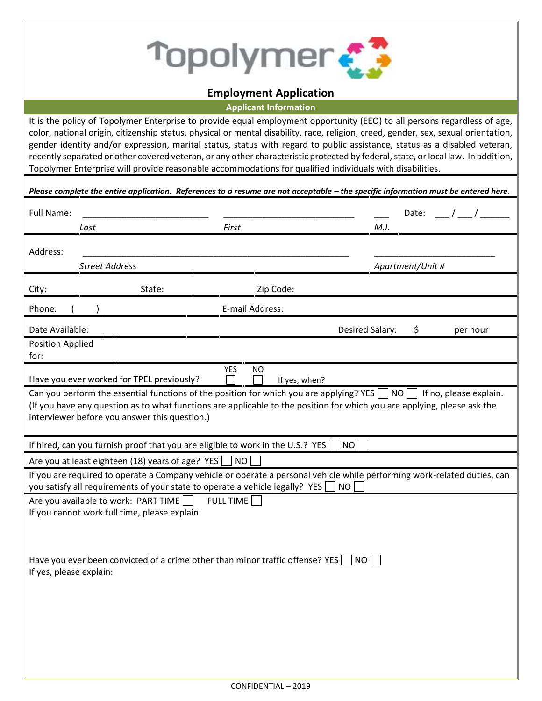

## **Employment Application**

**Applicant Information**

It is the policy of Topolymer Enterprise to provide equal employment opportunity (EEO) to all persons regardless of age, color, national origin, citizenship status, physical or mental disability, race, religion, creed, gender, sex, sexual orientation, gender identity and/or expression, marital status, status with regard to public assistance, status as a disabled veteran, recently separated or other covered veteran, or any other characteristic protected by federal, state, or local law. In addition, Topolymer Enterprise will provide reasonable accommodations for qualified individuals with disabilities.

|                                   |                                                                                         |                                          | Please complete the entire application. References to a resume are not acceptable - the specific information must be entered here.                                                                                                   |                  |                        |
|-----------------------------------|-----------------------------------------------------------------------------------------|------------------------------------------|--------------------------------------------------------------------------------------------------------------------------------------------------------------------------------------------------------------------------------------|------------------|------------------------|
| Full Name:                        |                                                                                         |                                          |                                                                                                                                                                                                                                      | Date:            |                        |
| Last                              |                                                                                         | First                                    | M.I.                                                                                                                                                                                                                                 |                  |                        |
| Address:<br><b>Street Address</b> |                                                                                         |                                          |                                                                                                                                                                                                                                      |                  |                        |
|                                   |                                                                                         |                                          |                                                                                                                                                                                                                                      | Apartment/Unit # |                        |
| City:                             | State:                                                                                  | Zip Code:                                |                                                                                                                                                                                                                                      |                  |                        |
| Phone:                            |                                                                                         | E-mail Address:                          |                                                                                                                                                                                                                                      |                  |                        |
| Date Available:                   |                                                                                         |                                          | Desired Salary:                                                                                                                                                                                                                      | \$               | per hour               |
| Position Applied                  |                                                                                         |                                          |                                                                                                                                                                                                                                      |                  |                        |
| for:                              |                                                                                         |                                          |                                                                                                                                                                                                                                      |                  |                        |
|                                   | Have you ever worked for TPEL previously?                                               | <b>YES</b><br><b>NO</b><br>If yes, when? |                                                                                                                                                                                                                                      |                  |                        |
|                                   | interviewer before you answer this question.)                                           |                                          | Can you perform the essential functions of the position for which you are applying? YES $\Box$ NO $\Box$<br>(If you have any question as to what functions are applicable to the position for which you are applying, please ask the |                  | If no, please explain. |
|                                   | If hired, can you furnish proof that you are eligible to work in the U.S.? YES          |                                          | NO                                                                                                                                                                                                                                   |                  |                        |
|                                   | Are you at least eighteen (18) years of age? YES                                        | $\vert$ NO $\vert$                       |                                                                                                                                                                                                                                      |                  |                        |
|                                   | you satisfy all requirements of your state to operate a vehicle legally? YES            |                                          | If you are required to operate a Company vehicle or operate a personal vehicle while performing work-related duties, can<br>NO                                                                                                       |                  |                        |
|                                   | Are you available to work: PART TIME                                                    | <b>FULL TIME</b>                         |                                                                                                                                                                                                                                      |                  |                        |
|                                   | If you cannot work full time, please explain:                                           |                                          |                                                                                                                                                                                                                                      |                  |                        |
|                                   | Have you ever been convicted of a crime other than minor traffic offense? YES $\Box$ NO |                                          |                                                                                                                                                                                                                                      |                  |                        |
| If yes, please explain:           |                                                                                         |                                          |                                                                                                                                                                                                                                      |                  |                        |
|                                   |                                                                                         |                                          |                                                                                                                                                                                                                                      |                  |                        |
|                                   |                                                                                         |                                          |                                                                                                                                                                                                                                      |                  |                        |
|                                   |                                                                                         |                                          |                                                                                                                                                                                                                                      |                  |                        |
|                                   |                                                                                         |                                          |                                                                                                                                                                                                                                      |                  |                        |
|                                   |                                                                                         |                                          |                                                                                                                                                                                                                                      |                  |                        |
|                                   |                                                                                         |                                          |                                                                                                                                                                                                                                      |                  |                        |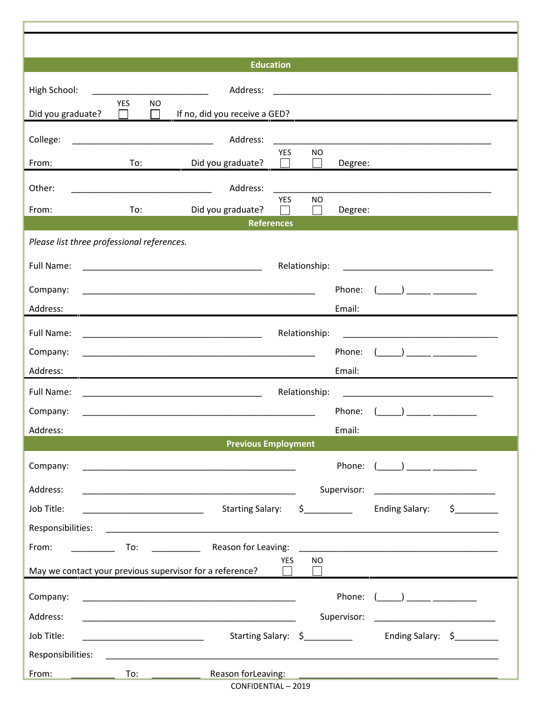|                                            |                                                             | <b>Education</b>                                            |               |                             |                                                                                                                                                                                |          |
|--------------------------------------------|-------------------------------------------------------------|-------------------------------------------------------------|---------------|-----------------------------|--------------------------------------------------------------------------------------------------------------------------------------------------------------------------------|----------|
| High School:                               |                                                             | Address:                                                    |               |                             |                                                                                                                                                                                |          |
| Did you graduate?                          | <b>YES</b><br><b>NO</b><br>$\Box$<br>$\perp$                | If no, did you receive a GED?                               |               |                             |                                                                                                                                                                                |          |
| College:                                   | <u> 2002 - Johann Johann Stone, mension album per</u>       | Address:                                                    |               |                             |                                                                                                                                                                                |          |
|                                            |                                                             |                                                             | YES<br>$\Box$ | <b>NO</b><br>$\blacksquare$ | <u> 1989 - Johann John Stone, mensk politik foar it fan it fan it fan it fan it fan it fan it fan it fan it fan i</u>                                                          |          |
| From:                                      | $To:$ and $\Box$                                            | Did you graduate?                                           |               | Degree:                     |                                                                                                                                                                                |          |
| Other:                                     | <u> 1989 - Johann Barn, mars ann an t-Amhair ann an t-A</u> | Address:                                                    | YES           | <b>NO</b>                   |                                                                                                                                                                                |          |
| From:                                      | To:                                                         | Did you graduate?                                           |               | Degree:                     |                                                                                                                                                                                |          |
|                                            |                                                             | <b>References</b>                                           |               |                             |                                                                                                                                                                                |          |
| Please list three professional references. |                                                             |                                                             |               |                             |                                                                                                                                                                                |          |
| Full Name:                                 |                                                             |                                                             | Relationship: |                             |                                                                                                                                                                                |          |
| Company:                                   |                                                             |                                                             |               | Phone:                      | $\begin{pmatrix} 1 & 1 \\ 1 & 1 \end{pmatrix}$ , and the set of $\begin{pmatrix} 1 & 1 \\ 1 & 1 \end{pmatrix}$ , and the set of $\begin{pmatrix} 1 & 1 \\ 1 & 1 \end{pmatrix}$ |          |
| Address:                                   |                                                             |                                                             |               | Email:                      |                                                                                                                                                                                |          |
| Full Name:                                 |                                                             |                                                             | Relationship: |                             |                                                                                                                                                                                |          |
| Company:                                   |                                                             |                                                             |               | Phone:                      |                                                                                                                                                                                |          |
| Address:                                   |                                                             | <u> 1989 - Johann Stoff, amerikansk politiker (d. 1989)</u> |               | Email:                      |                                                                                                                                                                                |          |
| Full Name:                                 |                                                             |                                                             | Relationship: |                             | <u> 1980 - Jan Barbara Barbara, manazarta da kasas da kasas da kasas da kasas da kasas da kasas da kasas da kasa</u>                                                           |          |
| Company:                                   |                                                             |                                                             |               | Phone:                      | ) and the contract of $\overline{a}$                                                                                                                                           |          |
| Address:                                   |                                                             |                                                             |               | Email:                      |                                                                                                                                                                                |          |
|                                            |                                                             | <b>Previous Employment</b>                                  |               |                             |                                                                                                                                                                                |          |
| Company:                                   |                                                             |                                                             |               |                             | Phone: $($                                                                                                                                                                     |          |
| Address:                                   |                                                             |                                                             |               | Supervisor:                 | <u> 1980 - Johann Barbara, martin a</u>                                                                                                                                        |          |
| Job Title:                                 |                                                             | Starting Salary: \$__________                               |               |                             | <b>Ending Salary:</b>                                                                                                                                                          | $\sharp$ |
| Responsibilities:                          |                                                             |                                                             |               |                             |                                                                                                                                                                                |          |
| From:                                      |                                                             | To: Reason for Leaving:                                     |               |                             | <u> 1980 - Jan Sterling, amerikansk politiker (d. 1980)</u>                                                                                                                    |          |
|                                            |                                                             | May we contact your previous supervisor for a reference?    | <b>YES</b>    | NO.                         |                                                                                                                                                                                |          |
|                                            |                                                             |                                                             |               |                             |                                                                                                                                                                                |          |
| Company:                                   |                                                             |                                                             |               | Phone:                      | $\begin{pmatrix} 1 & 1 \\ 1 & 1 \end{pmatrix}$                                                                                                                                 |          |
| Address:                                   |                                                             |                                                             |               | Supervisor:                 | <u> 1980 - Jan James James, martin al-A</u>                                                                                                                                    |          |
| Job Title:                                 |                                                             | Starting Salary: \$                                         |               |                             | Ending Salary: \$                                                                                                                                                              |          |
| Responsibilities:                          |                                                             |                                                             |               |                             |                                                                                                                                                                                |          |
| From:<br><u> 1980 - Jan Barbarat, p</u>    | $\overline{To}$ :                                           | Reason forLeaving:<br>CONFIDENTIAL - 2019                   |               |                             | <u> 1990 - Jan James James James James James James James James James James James James James James James James J</u>                                                           |          |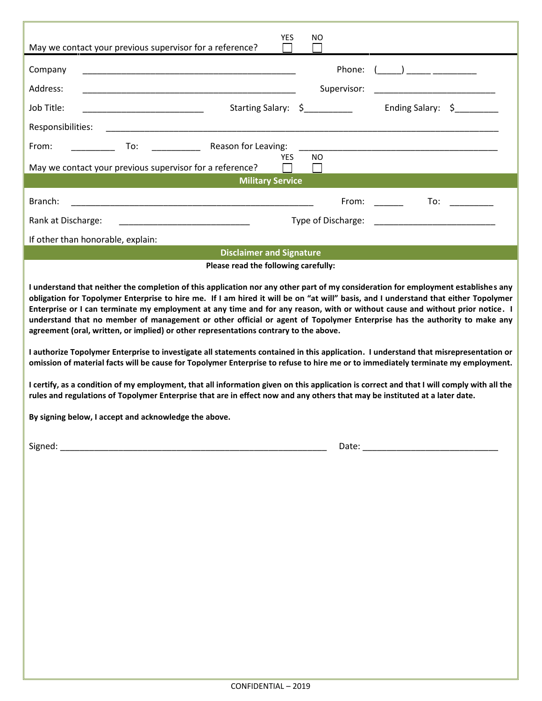| <b>YES</b><br>NO.<br>May we contact your previous supervisor for a reference?                                                                                                                                                                                                                                                                                                                                                                                                                                                                                                                                                                                                                                                                                                                                                                                                                                                                                        |  |  |  |  |  |  |  |
|----------------------------------------------------------------------------------------------------------------------------------------------------------------------------------------------------------------------------------------------------------------------------------------------------------------------------------------------------------------------------------------------------------------------------------------------------------------------------------------------------------------------------------------------------------------------------------------------------------------------------------------------------------------------------------------------------------------------------------------------------------------------------------------------------------------------------------------------------------------------------------------------------------------------------------------------------------------------|--|--|--|--|--|--|--|
| Phone:<br>$($ $)$<br>Company<br>Address:<br>Supervisor:                                                                                                                                                                                                                                                                                                                                                                                                                                                                                                                                                                                                                                                                                                                                                                                                                                                                                                              |  |  |  |  |  |  |  |
| Ending Salary: \$<br>Starting Salary: \$<br>Job Title:<br>the control of the control of the control of                                                                                                                                                                                                                                                                                                                                                                                                                                                                                                                                                                                                                                                                                                                                                                                                                                                               |  |  |  |  |  |  |  |
| Responsibilities:                                                                                                                                                                                                                                                                                                                                                                                                                                                                                                                                                                                                                                                                                                                                                                                                                                                                                                                                                    |  |  |  |  |  |  |  |
| Reason for Leaving:<br>To:<br>From:<br>$\begin{aligned} \mathcal{L}_{\text{max}}(\mathcal{L}_{\text{max}}) = \mathcal{L}_{\text{max}}(\mathcal{L}_{\text{max}}) \end{aligned}$<br>YES<br>NO.                                                                                                                                                                                                                                                                                                                                                                                                                                                                                                                                                                                                                                                                                                                                                                         |  |  |  |  |  |  |  |
| May we contact your previous supervisor for a reference?                                                                                                                                                                                                                                                                                                                                                                                                                                                                                                                                                                                                                                                                                                                                                                                                                                                                                                             |  |  |  |  |  |  |  |
| <b>Military Service</b>                                                                                                                                                                                                                                                                                                                                                                                                                                                                                                                                                                                                                                                                                                                                                                                                                                                                                                                                              |  |  |  |  |  |  |  |
| Branch:<br>To:<br>From:<br><u> 1989 - Johann John Stoff, deutscher Stoffen und der Stoffen und der Stoffen und der Stoffen und der Stoffen</u>                                                                                                                                                                                                                                                                                                                                                                                                                                                                                                                                                                                                                                                                                                                                                                                                                       |  |  |  |  |  |  |  |
| Type of Discharge:<br>Rank at Discharge:<br><u> 1989 - Johann John Stone, mars eta biztanleria (</u>                                                                                                                                                                                                                                                                                                                                                                                                                                                                                                                                                                                                                                                                                                                                                                                                                                                                 |  |  |  |  |  |  |  |
| If other than honorable, explain:                                                                                                                                                                                                                                                                                                                                                                                                                                                                                                                                                                                                                                                                                                                                                                                                                                                                                                                                    |  |  |  |  |  |  |  |
| <b>Disclaimer and Signature</b><br>Please read the following carefully:                                                                                                                                                                                                                                                                                                                                                                                                                                                                                                                                                                                                                                                                                                                                                                                                                                                                                              |  |  |  |  |  |  |  |
| Enterprise or I can terminate my employment at any time and for any reason, with or without cause and without prior notice. I<br>understand that no member of management or other official or agent of Topolymer Enterprise has the authority to make any<br>agreement (oral, written, or implied) or other representations contrary to the above.<br>I authorize Topolymer Enterprise to investigate all statements contained in this application. I understand that misrepresentation or<br>omission of material facts will be cause for Topolymer Enterprise to refuse to hire me or to immediately terminate my employment.<br>I certify, as a condition of my employment, that all information given on this application is correct and that I will comply with all the<br>rules and regulations of Topolymer Enterprise that are in effect now and any others that may be instituted at a later date.<br>By signing below, I accept and acknowledge the above. |  |  |  |  |  |  |  |
|                                                                                                                                                                                                                                                                                                                                                                                                                                                                                                                                                                                                                                                                                                                                                                                                                                                                                                                                                                      |  |  |  |  |  |  |  |
|                                                                                                                                                                                                                                                                                                                                                                                                                                                                                                                                                                                                                                                                                                                                                                                                                                                                                                                                                                      |  |  |  |  |  |  |  |